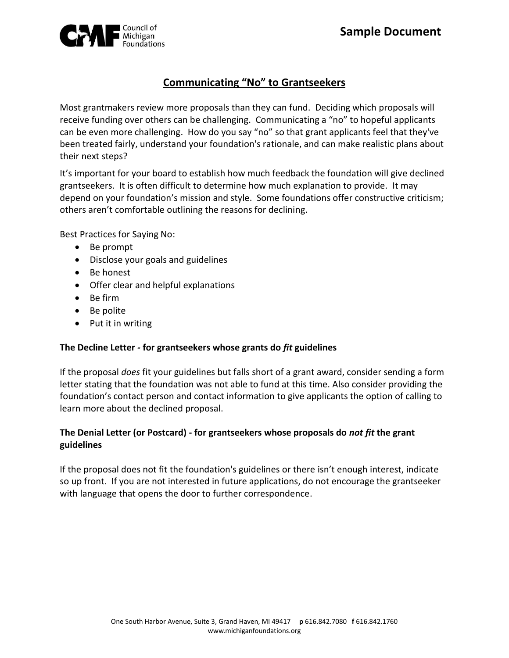

# **Communicating "No" to Grantseekers**

Most grantmakers review more proposals than they can fund. Deciding which proposals will receive funding over others can be challenging. Communicating a "no" to hopeful applicants can be even more challenging. How do you say "no" so that grant applicants feel that they've been treated fairly, understand your foundation's rationale, and can make realistic plans about their next steps?

It's important for your board to establish how much feedback the foundation will give declined grantseekers. It is often difficult to determine how much explanation to provide. It may depend on your foundation's mission and style. Some foundations offer constructive criticism; others aren't comfortable outlining the reasons for declining.

Best Practices for Saying No:

- Be prompt
- Disclose your goals and guidelines
- Be honest
- Offer clear and helpful explanations
- Be firm
- Be polite
- Put it in writing

#### **The Decline Letter** *-* **for grantseekers whose grants do** *fit* **guidelines**

If the proposal *does* fit your guidelines but falls short of a grant award, consider sending a form letter stating that the foundation was not able to fund at this time. Also consider providing the foundation's contact person and contact information to give applicants the option of calling to learn more about the declined proposal.

### **The Denial Letter (or Postcard) - for grantseekers whose proposals do** *not fit* **the grant guidelines**

If the proposal does not fit the foundation's guidelines or there isn't enough interest, indicate so up front. If you are not interested in future applications, do not encourage the grantseeker with language that opens the door to further correspondence.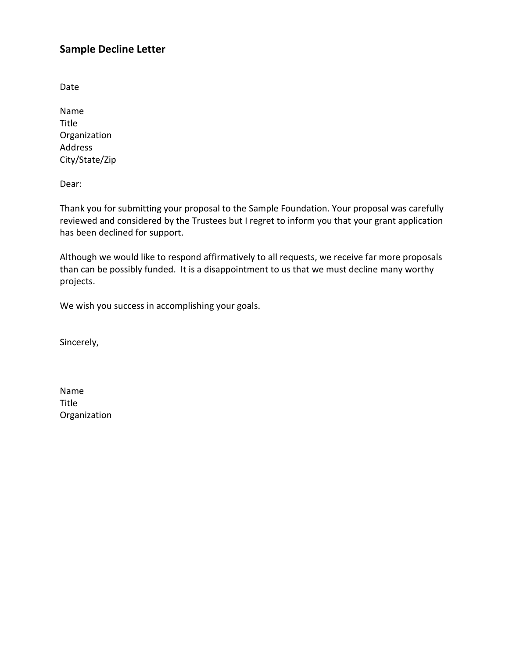### **Sample Decline Letter**

Date

Name Title Organization Address City/State/Zip

Dear:

Thank you for submitting your proposal to the Sample Foundation. Your proposal was carefully reviewed and considered by the Trustees but I regret to inform you that your grant application has been declined for support.

Although we would like to respond affirmatively to all requests, we receive far more proposals than can be possibly funded. It is a disappointment to us that we must decline many worthy projects.

We wish you success in accomplishing your goals.

Sincerely,

Name Title Organization